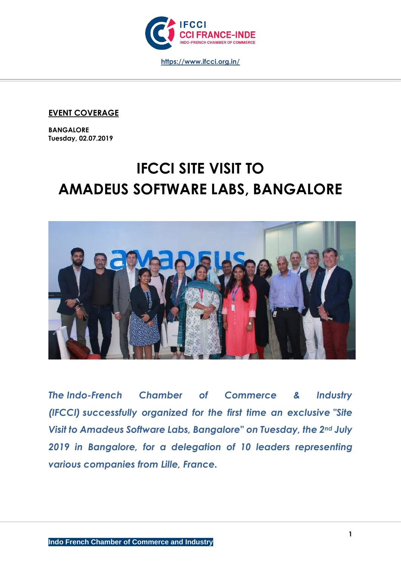

## **EVENT COVERAGE**

**BANGALORE Tuesday, 02.07.2019**

# **IFCCI SITE VISIT TO AMADEUS SOFTWARE LABS, BANGALORE**



*The Indo-French Chamber of Commerce & Industry (IFCCI) successfully organized for the first time an exclusive "Site Visit to Amadeus Software Labs, Bangalore" on Tuesday, the 2nd July 2019 in Bangalore, for a delegation of 10 leaders representing various companies from Lille, France.*